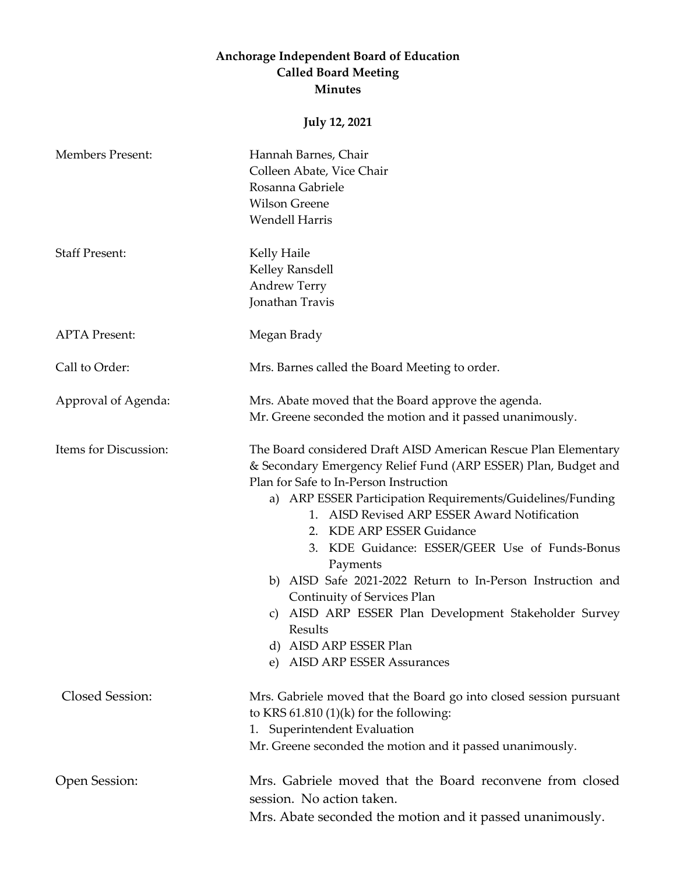## **Anchorage Independent Board of Education Called Board Meeting Minutes**

## **July 12, 2021**

| <b>Members Present:</b> | Hannah Barnes, Chair<br>Colleen Abate, Vice Chair<br>Rosanna Gabriele<br><b>Wilson Greene</b><br><b>Wendell Harris</b>                                                                                                                                                                                                                                                                                                                                                                                                                                                                                                          |
|-------------------------|---------------------------------------------------------------------------------------------------------------------------------------------------------------------------------------------------------------------------------------------------------------------------------------------------------------------------------------------------------------------------------------------------------------------------------------------------------------------------------------------------------------------------------------------------------------------------------------------------------------------------------|
| <b>Staff Present:</b>   | Kelly Haile<br>Kelley Ransdell<br><b>Andrew Terry</b><br>Jonathan Travis                                                                                                                                                                                                                                                                                                                                                                                                                                                                                                                                                        |
| <b>APTA Present:</b>    | Megan Brady                                                                                                                                                                                                                                                                                                                                                                                                                                                                                                                                                                                                                     |
| Call to Order:          | Mrs. Barnes called the Board Meeting to order.                                                                                                                                                                                                                                                                                                                                                                                                                                                                                                                                                                                  |
| Approval of Agenda:     | Mrs. Abate moved that the Board approve the agenda.<br>Mr. Greene seconded the motion and it passed unanimously.                                                                                                                                                                                                                                                                                                                                                                                                                                                                                                                |
| Items for Discussion:   | The Board considered Draft AISD American Rescue Plan Elementary<br>& Secondary Emergency Relief Fund (ARP ESSER) Plan, Budget and<br>Plan for Safe to In-Person Instruction<br>a) ARP ESSER Participation Requirements/Guidelines/Funding<br>1. AISD Revised ARP ESSER Award Notification<br>2. KDE ARP ESSER Guidance<br>KDE Guidance: ESSER/GEER Use of Funds-Bonus<br>3.<br>Payments<br>b) AISD Safe 2021-2022 Return to In-Person Instruction and<br>Continuity of Services Plan<br>AISD ARP ESSER Plan Development Stakeholder Survey<br>C)<br>Results<br>d) AISD ARP ESSER Plan<br><b>AISD ARP ESSER Assurances</b><br>e) |
| Closed Session:         | Mrs. Gabriele moved that the Board go into closed session pursuant<br>to KRS $61.810(1)(k)$ for the following:<br><b>Superintendent Evaluation</b><br>1.<br>Mr. Greene seconded the motion and it passed unanimously.                                                                                                                                                                                                                                                                                                                                                                                                           |
| Open Session:           | Mrs. Gabriele moved that the Board reconvene from closed<br>session. No action taken.<br>Mrs. Abate seconded the motion and it passed unanimously.                                                                                                                                                                                                                                                                                                                                                                                                                                                                              |